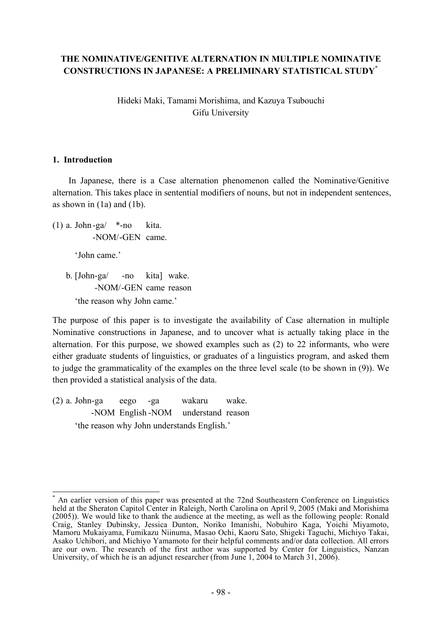# **THE NOMINATIVE/GENITIVE ALTERNATION IN MULTIPLE NOMINATIVE CONSTRUCTIONS IN JAPANESE: A PRELIMINARY STATISTICAL STUDY\***

Hideki Maki, Tamami Morishima, and Kazuya Tsubouchi Gifu University

### **1. Introduction**

In Japanese, there is a Case alternation phenomenon called the Nominative/Genitive alternation. This takes place in sentential modifiers of nouns, but not in independent sentences, as shown in (1a) and (1b).

(1) a. John-ga $\frac{*}{\ }$ -no kita. -NOM/-GEN came.

'John came.'

b. [John-ga/ -no kita] wake. -NOM/-GEN came reason 'the reason why John came.'

The purpose of this paper is to investigate the availability of Case alternation in multiple Nominative constructions in Japanese, and to uncover what is actually taking place in the alternation. For this purpose, we showed examples such as (2) to 22 informants, who were either graduate students of linguistics, or graduates of a linguistics program, and asked them to judge the grammaticality of the examples on the three level scale (to be shown in (9)). We then provided a statistical analysis of the data.

(2) a. John-ga eego -ga wakaru wake. -NOM English -NOM understand reason 'the reason why John understands English.'

An earlier version of this paper was presented at the 72nd Southeastern Conference on Linguistics held at the Sheraton Capitol Center in Raleigh, North Carolina on April 9, 2005 (Maki and Morishima (2005)). We would like to thank the audience at the meeting, as well as the following people: Ronald Craig, Stanley Dubinsky, Jessica Dunton, Noriko Imanishi, Nobuhiro Kaga, Yoichi Miyamoto, Mamoru Mukaiyama, Fumikazu Niinuma, Masao Ochi, Kaoru Sato, Shigeki Taguchi, Michiyo Takai, Asako Uchibori, and Michiyo Yamamoto for their helpful comments and/or data collection. All errors are our own. The research of the first author was supported by Center for Linguistics, Nanzan University, of which he is an adjunct researcher (from June 1, 2004 to March 31, 2006).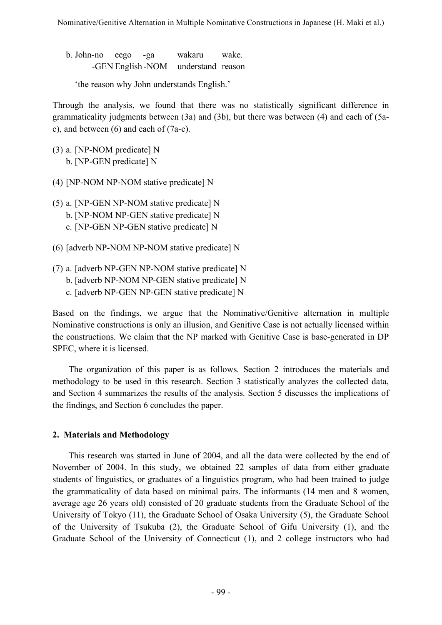b. John-no eego -ga wakaru wake. -GEN English -NOM understand reason

'the reason why John understands English.'

Through the analysis, we found that there was no statistically significant difference in grammaticality judgments between (3a) and (3b), but there was between (4) and each of (5ac), and between (6) and each of (7a-c).

- (3) a. [NP-NOM predicate] N b. [NP-GEN predicate] N
- (4) [NP-NOM NP-NOM stative predicate] N
- (5) a. [NP-GEN NP-NOM stative predicate] N b. [NP-NOM NP-GEN stative predicate] N c. [NP-GEN NP-GEN stative predicate] N
- (6) [adverb NP-NOM NP-NOM stative predicate] N
- (7) a. [adverb NP-GEN NP-NOM stative predicate] N b. [adverb NP-NOM NP-GEN stative predicate] N
	- c. [adverb NP-GEN NP-GEN stative predicate] N

Based on the findings, we argue that the Nominative/Genitive alternation in multiple Nominative constructions is only an illusion, and Genitive Case is not actually licensed within the constructions. We claim that the NP marked with Genitive Case is base-generated in DP SPEC, where it is licensed.

The organization of this paper is as follows. Section 2 introduces the materials and methodology to be used in this research. Section 3 statistically analyzes the collected data, and Section 4 summarizes the results of the analysis. Section 5 discusses the implications of the findings, and Section 6 concludes the paper.

# **2. Materials and Methodology**

This research was started in June of 2004, and all the data were collected by the end of November of 2004. In this study, we obtained 22 samples of data from either graduate students of linguistics, or graduates of a linguistics program, who had been trained to judge the grammaticality of data based on minimal pairs. The informants (14 men and 8 women, average age 26 years old) consisted of 20 graduate students from the Graduate School of the University of Tokyo (11), the Graduate School of Osaka University (5), the Graduate School of the University of Tsukuba (2), the Graduate School of Gifu University (1), and the Graduate School of the University of Connecticut (1), and 2 college instructors who had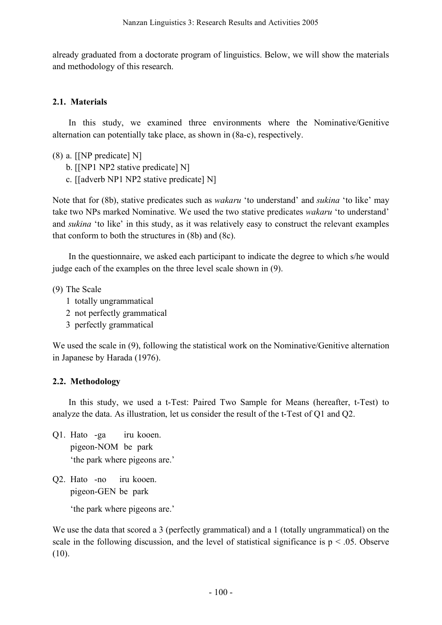already graduated from a doctorate program of linguistics. Below, we will show the materials and methodology of this research.

## **2.1. Materials**

In this study, we examined three environments where the Nominative/Genitive alternation can potentially take place, as shown in (8a-c), respectively.

- (8) a. [[NP predicate] N]
	- b. [[NP1 NP2 stative predicate] N]
	- c. [[adverb NP1 NP2 stative predicate] N]

Note that for (8b), stative predicates such as *wakaru* 'to understand' and *sukina* 'to like' may take two NPs marked Nominative. We used the two stative predicates *wakaru* 'to understand' and *sukina* 'to like' in this study, as it was relatively easy to construct the relevant examples that conform to both the structures in (8b) and (8c).

In the questionnaire, we asked each participant to indicate the degree to which s/he would judge each of the examples on the three level scale shown in (9).

(9) The Scale

- 1 totally ungrammatical
- 2 not perfectly grammatical
- 3 perfectly grammatical

We used the scale in (9), following the statistical work on the Nominative/Genitive alternation in Japanese by Harada (1976).

# **2.2. Methodology**

In this study, we used a t-Test: Paired Two Sample for Means (hereafter, t-Test) to analyze the data. As illustration, let us consider the result of the t-Test of Q1 and Q2.

- Q1. Hato -ga iru kooen. pigeon-NOM be park 'the park where pigeons are.'
- Q2. Hato -no iru kooen. pigeon-GEN be park

'the park where pigeons are.'

We use the data that scored a 3 (perfectly grammatical) and a 1 (totally ungrammatical) on the scale in the following discussion, and the level of statistical significance is  $p < .05$ . Observe (10).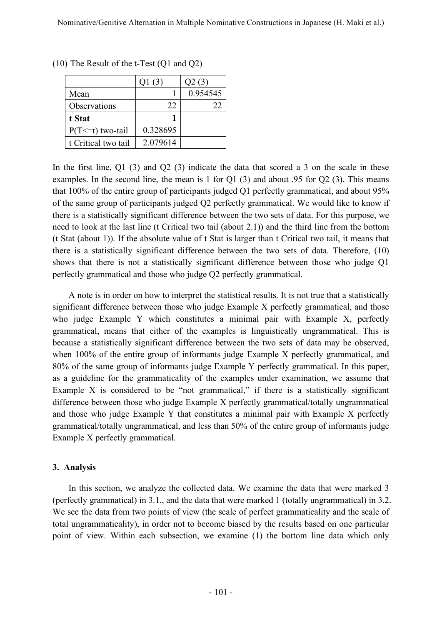|                       | Q1(3)    | Q2(3)    |
|-----------------------|----------|----------|
| Mean                  |          | 0.954545 |
| Observations          | 22       | 22       |
| t Stat                |          |          |
| $P(T \le t)$ two-tail | 0.328695 |          |
| t Critical two tail   | 2.079614 |          |

(10) The Result of the t-Test (Q1 and Q2)

In the first line, Q1 (3) and Q2 (3) indicate the data that scored a 3 on the scale in these examples. In the second line, the mean is 1 for Q1 (3) and about .95 for Q2 (3). This means that 100% of the entire group of participants judged Q1 perfectly grammatical, and about 95% of the same group of participants judged Q2 perfectly grammatical. We would like to know if there is a statistically significant difference between the two sets of data. For this purpose, we need to look at the last line (t Critical two tail (about 2.1)) and the third line from the bottom (t Stat (about 1)). If the absolute value of t Stat is larger than t Critical two tail, it means that there is a statistically significant difference between the two sets of data. Therefore, (10) shows that there is not a statistically significant difference between those who judge Q1 perfectly grammatical and those who judge Q2 perfectly grammatical.

A note is in order on how to interpret the statistical results. It is not true that a statistically significant difference between those who judge Example X perfectly grammatical, and those who judge Example Y which constitutes a minimal pair with Example X, perfectly grammatical, means that either of the examples is linguistically ungrammatical. This is because a statistically significant difference between the two sets of data may be observed, when 100% of the entire group of informants judge Example X perfectly grammatical, and 80% of the same group of informants judge Example Y perfectly grammatical. In this paper, as a guideline for the grammaticality of the examples under examination, we assume that Example X is considered to be "not grammatical," if there is a statistically significant difference between those who judge Example X perfectly grammatical/totally ungrammatical and those who judge Example Y that constitutes a minimal pair with Example X perfectly grammatical/totally ungrammatical, and less than 50% of the entire group of informants judge Example X perfectly grammatical.

### **3. Analysis**

In this section, we analyze the collected data. We examine the data that were marked 3 (perfectly grammatical) in 3.1., and the data that were marked 1 (totally ungrammatical) in 3.2. We see the data from two points of view (the scale of perfect grammaticality and the scale of total ungrammaticality), in order not to become biased by the results based on one particular point of view. Within each subsection, we examine (1) the bottom line data which only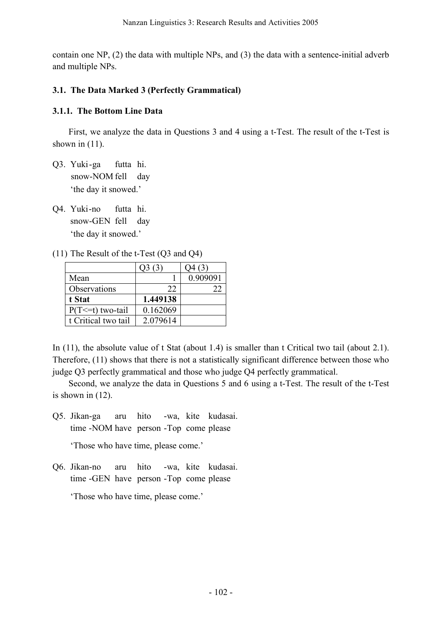contain one NP, (2) the data with multiple NPs, and (3) the data with a sentence-initial adverb and multiple NPs.

## **3.1. The Data Marked 3 (Perfectly Grammatical)**

### **3.1.1. The Bottom Line Data**

First, we analyze the data in Questions 3 and 4 using a t-Test. The result of the t-Test is shown in  $(11)$ .

- Q3. Yuki -ga futta hi. snow-NOM fell day 'the day it snowed.'
- Q4. Yuki-no futta hi. snow-GEN fell day 'the day it snowed.'
- (11) The Result of the t-Test (Q3 and Q4)

|                       | Q3(3)    | Q4 (3)   |
|-----------------------|----------|----------|
| Mean                  |          | 0.909091 |
| Observations          | 22       | 22       |
| t Stat                | 1.449138 |          |
| $P(T \le t)$ two-tail | 0.162069 |          |
| t Critical two tail   | 2.079614 |          |

In (11), the absolute value of t Stat (about 1.4) is smaller than t Critical two tail (about 2.1). Therefore, (11) shows that there is not a statistically significant difference between those who judge Q3 perfectly grammatical and those who judge Q4 perfectly grammatical.

Second, we analyze the data in Questions 5 and 6 using a t-Test. The result of the t-Test is shown in (12).

Q5. Jikan-ga aru hito -wa, kite kudasai. time -NOM have person -Top come please

'Those who have time, please come.'

Q6. Jikan-no aru hito -wa, kite kudasai. time -GEN have person -Top come please

'Those who have time, please come.'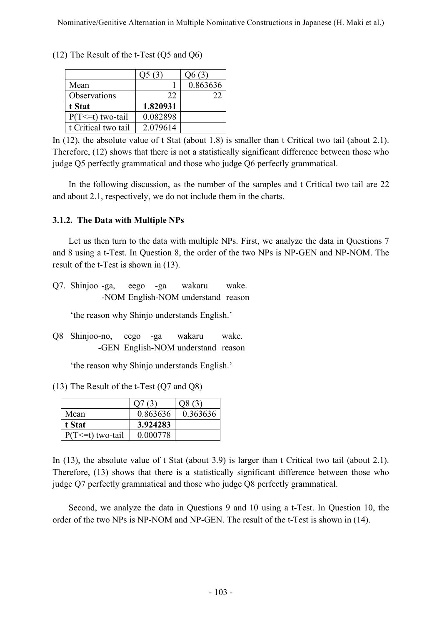|                       | Q5(3)    | Q6(3)    |
|-----------------------|----------|----------|
| Mean                  |          | 0.863636 |
| Observations          | 22       | フフ       |
| t Stat                | 1.820931 |          |
| $P(T \le t)$ two-tail | 0.082898 |          |
| t Critical two tail   | 2.079614 |          |

(12) The Result of the t-Test (Q5 and Q6)

In (12), the absolute value of t Stat (about 1.8) is smaller than t Critical two tail (about 2.1). Therefore, (12) shows that there is not a statistically significant difference between those who judge Q5 perfectly grammatical and those who judge Q6 perfectly grammatical.

In the following discussion, as the number of the samples and t Critical two tail are 22 and about 2.1, respectively, we do not include them in the charts.

### **3.1.2. The Data with Multiple NPs**

Let us then turn to the data with multiple NPs. First, we analyze the data in Questions 7 and 8 using a t-Test. In Question 8, the order of the two NPs is NP-GEN and NP-NOM. The result of the t-Test is shown in (13).

Q7. Shinjoo -ga, eego -ga wakaru wake. -NOM English-NOM understand reason

'the reason why Shinjo understands English.'

Q8 Shinjoo-no, eego -ga wakaru wake. -GEN English-NOM understand reason

'the reason why Shinjo understands English.'

(13) The Result of the t-Test (Q7 and Q8)

| Mean                  | 0.863636 | 0.363636 |
|-----------------------|----------|----------|
| t Stat                | 3.924283 |          |
| $P(T \le t)$ two-tail | 0.000778 |          |

In (13), the absolute value of t Stat (about 3.9) is larger than t Critical two tail (about 2.1). Therefore, (13) shows that there is a statistically significant difference between those who judge Q7 perfectly grammatical and those who judge Q8 perfectly grammatical.

Second, we analyze the data in Questions 9 and 10 using a t-Test. In Question 10, the order of the two NPs is NP-NOM and NP-GEN. The result of the t-Test is shown in (14).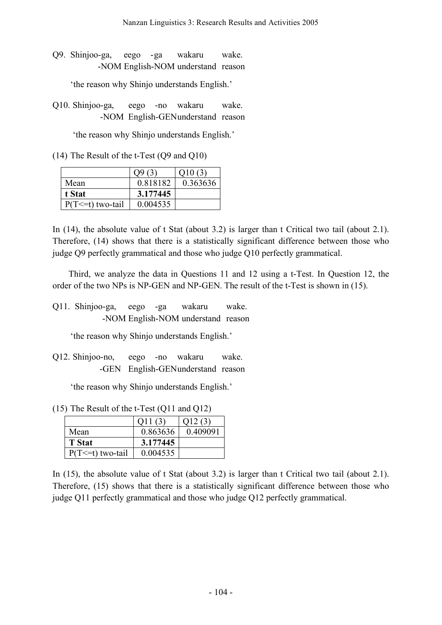Q9. Shinjoo-ga, eego - ga wakaru wake. -NOM English-NOM understand reason

'the reason why Shinjo understands English.'

Q10. Shinjoo-ga, eego -no wakaru wake. -NOM English-GENunderstand reason

'the reason why Shinjo understands English.'

(14) The Result of the t-Test (Q9 and Q10)

|                       |          | 010 (3)  |
|-----------------------|----------|----------|
| Mean                  | 0.818182 | 0.363636 |
| t Stat                | 3.177445 |          |
| $P(T \le t)$ two-tail | 0.004535 |          |

In (14), the absolute value of t Stat (about 3.2) is larger than t Critical two tail (about 2.1). Therefore, (14) shows that there is a statistically significant difference between those who judge Q9 perfectly grammatical and those who judge Q10 perfectly grammatical.

Third, we analyze the data in Questions 11 and 12 using a t-Test. In Question 12, the order of the two NPs is NP-GEN and NP-GEN. The result of the t-Test is shown in (15).

Q11. Shinjoo-ga, eego -ga wakaru wake. -NOM English-NOM understand reason

'the reason why Shinjo understands English.'

Q12. Shinjoo-no, eego -no wakaru wake. -GEN English-GENunderstand reason

'the reason why Shinjo understands English.'

(15) The Result of the t-Test (Q11 and Q12)

| Mean                  | 0.863636 | 0.409091 |
|-----------------------|----------|----------|
| <b>T</b> Stat         | 3.177445 |          |
| $P(T \le t)$ two-tail | 0.004535 |          |

In (15), the absolute value of t Stat (about 3.2) is larger than t Critical two tail (about 2.1). Therefore, (15) shows that there is a statistically significant difference between those who judge Q11 perfectly grammatical and those who judge Q12 perfectly grammatical.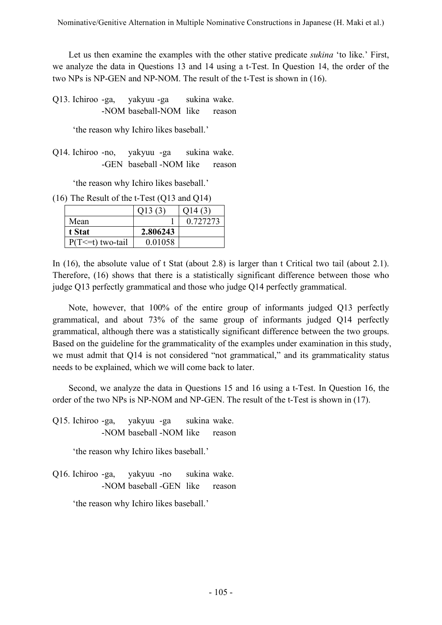Let us then examine the examples with the other stative predicate *sukina* 'to like.' First, we analyze the data in Questions 13 and 14 using a t-Test. In Question 14, the order of the two NPs is NP-GEN and NP-NOM. The result of the t-Test is shown in (16).

Q13. Ichiroo -ga, yakyuu -ga sukina wake. -NOM baseball-NOM like reason

'the reason why Ichiro likes baseball.'

Q14. Ichiroo -no, yakyuu -ga sukina wake. -GEN baseball -NOM like reason

'the reason why Ichiro likes baseball.'

(16) The Result of the t-Test (Q13 and Q14)

|                       | O(13(3)  | 014 (3)  |
|-----------------------|----------|----------|
| Mean                  |          | 0.727273 |
| t Stat                | 2.806243 |          |
| $P(T \le t)$ two-tail | 0.01058  |          |

In (16), the absolute value of t Stat (about 2.8) is larger than t Critical two tail (about 2.1). Therefore, (16) shows that there is a statistically significant difference between those who judge Q13 perfectly grammatical and those who judge Q14 perfectly grammatical.

Note, however, that 100% of the entire group of informants judged Q13 perfectly grammatical, and about 73% of the same group of informants judged Q14 perfectly grammatical, although there was a statistically significant difference between the two groups. Based on the guideline for the grammaticality of the examples under examination in this study, we must admit that Q14 is not considered "not grammatical," and its grammaticality status needs to be explained, which we will come back to later.

Second, we analyze the data in Questions 15 and 16 using a t-Test. In Question 16, the order of the two NPs is NP-NOM and NP-GEN. The result of the t-Test is shown in (17).

Q15. Ichiroo -ga, yakyuu -ga sukina wake. -NOM baseball -NOM like reason

'the reason why Ichiro likes baseball.'

Q16. Ichiroo -ga, yakyuu -no sukina wake. -NOM baseball -GEN like reason

'the reason why Ichiro likes baseball.'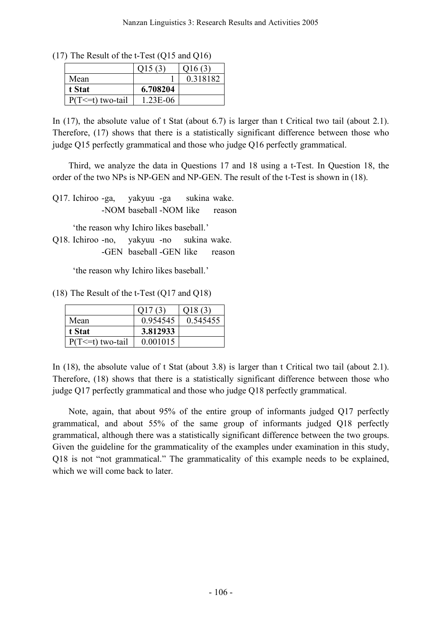(17) The Result of the t-Test (Q15 and Q16)

|                       | Q15(3)   | Q16(3)   |
|-----------------------|----------|----------|
| Mean                  |          | 0.318182 |
| t Stat                | 6.708204 |          |
| $P(T \le t)$ two-tail | 1.23E-06 |          |

In (17), the absolute value of t Stat (about 6.7) is larger than t Critical two tail (about 2.1). Therefore, (17) shows that there is a statistically significant difference between those who judge Q15 perfectly grammatical and those who judge Q16 perfectly grammatical.

Third, we analyze the data in Questions 17 and 18 using a t-Test. In Question 18, the order of the two NPs is NP-GEN and NP-GEN. The result of the t-Test is shown in (18).

Q17. Ichiroo -ga, yakyuu -ga sukina wake. -NOM baseball -NOM like reason

'the reason why Ichiro likes baseball.'

Q18. Ichiroo -no, yakyuu -no sukina wake. -GEN baseball -GEN like reason

'the reason why Ichiro likes baseball.'

(18) The Result of the t-Test (Q17 and Q18)

|                       |          | O18(3)   |
|-----------------------|----------|----------|
| Mean                  | 0.954545 | 0.545455 |
| t Stat                | 3.812933 |          |
| $P(T \le t)$ two-tail | 0.001015 |          |

In (18), the absolute value of t Stat (about 3.8) is larger than t Critical two tail (about 2.1). Therefore, (18) shows that there is a statistically significant difference between those who judge Q17 perfectly grammatical and those who judge Q18 perfectly grammatical.

Note, again, that about 95% of the entire group of informants judged Q17 perfectly grammatical, and about 55% of the same group of informants judged Q18 perfectly grammatical, although there was a statistically significant difference between the two groups. Given the guideline for the grammaticality of the examples under examination in this study, Q18 is not "not grammatical." The grammaticality of this example needs to be explained, which we will come back to later.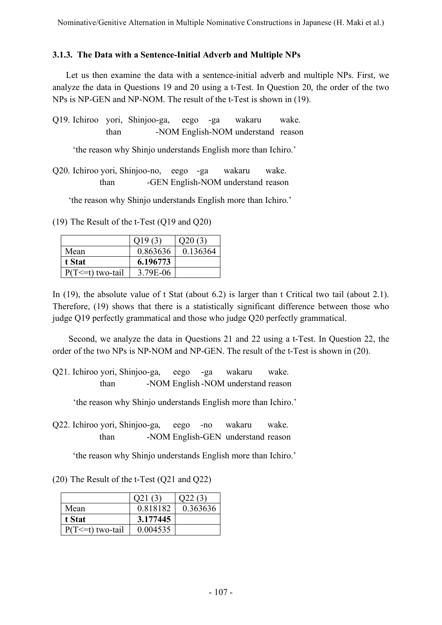## **3.1.3. The Data with a Sentence-Initial Adverb and Multiple NPs**

Let us then examine the data with a sentence-initial adverb and multiple NPs. First, we analyze the data in Questions 19 and 20 using a t-Test. In Question 20, the order of the two NPs is NP-GEN and NP-NOM. The result of the t-Test is shown in (19).

Q19. Ichiroo yori, Shinjoo-ga, eego -ga wakaru wake. than -NOM English-NOM understand reason

'the reason why Shinjo understands English more than Ichiro.'

Q20. Ichiroo yori, Shinjoo-no, eego -ga wakaru wake. than -GEN English-NOM understand reason

'the reason why Shinjo understands English more than Ichiro.'

(19) The Result of the t-Test (Q19 and Q20)

|                       | (19(3)   | O(20(3)) |
|-----------------------|----------|----------|
| Mean                  | 0.863636 | 0.136364 |
| t Stat                | 6.196773 |          |
| $P(T \le t)$ two-tail | 3.79E-06 |          |

In (19), the absolute value of t Stat (about 6.2) is larger than t Critical two tail (about 2.1). Therefore, (19) shows that there is a statistically significant difference between those who judge Q19 perfectly grammatical and those who judge Q20 perfectly grammatical.

Second, we analyze the data in Questions 21 and 22 using a t-Test. In Question 22, the order of the two NPs is NP-NOM and NP-GEN. The result of the t-Test is shown in (20).

Q21. Ichiroo yori, Shinjoo-ga, eego -ga wakaru wake. than -NOM English -NOM understand reason

'the reason why Shinjo understands English more than Ichiro.'

Q22. Ichiroo yori, Shinjoo-ga, eego -no wakaru wake. than -NOM English-GEN understand reason

'the reason why Shinjo understands English more than Ichiro.'

(20) The Result of the t-Test (Q21 and Q22)

|                       | 021(3)   | (22.63)  |
|-----------------------|----------|----------|
| Mean                  | 0.818182 | 0.363636 |
| t Stat                | 3.177445 |          |
| $P(T \le t)$ two-tail | 0.004535 |          |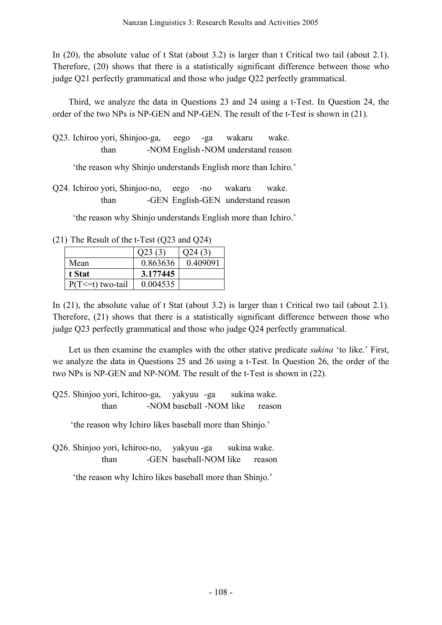In (20), the absolute value of t Stat (about 3.2) is larger than t Critical two tail (about 2.1). Therefore, (20) shows that there is a statistically significant difference between those who judge Q21 perfectly grammatical and those who judge Q22 perfectly grammatical.

Third, we analyze the data in Questions 23 and 24 using a t-Test. In Question 24, the order of the two NPs is NP-GEN and NP-GEN. The result of the t-Test is shown in (21).

Q23. Ichiroo yori, Shinjoo-ga, eego -ga wakaru wake. than -NOM English -NOM understand reason

'the reason why Shinjo understands English more than Ichiro.'

Q24. Ichiroo yori, Shinjoo-no, eego -no wakaru wake. than -GEN English-GEN understand reason

'the reason why Shinjo understands English more than Ichiro.'

(21) The Result of the t-Test (Q23 and Q24)

|                       | Q23(3)   | O <sub>24</sub> (3) |
|-----------------------|----------|---------------------|
| Mean                  | 0.863636 | 0.409091            |
| t Stat                | 3.177445 |                     |
| $P(T \le t)$ two-tail | 0.004535 |                     |

In (21), the absolute value of t Stat (about 3.2) is larger than t Critical two tail (about 2.1). Therefore, (21) shows that there is a statistically significant difference between those who judge Q23 perfectly grammatical and those who judge Q24 perfectly grammatical.

Let us then examine the examples with the other stative predicate *sukina* 'to like.' First, we analyze the data in Questions 25 and 26 using a t-Test. In Question 26, the order of the two NPs is NP-GEN and NP-NOM. The result of the t-Test is shown in (22).

Q25. Shinjoo yori, Ichiroo-ga, yakyuu -ga sukina wake. than -NOM baseball -NOM like reason

'the reason why Ichiro likes baseball more than Shinjo.'

Q26. Shinjoo yori, Ichiroo-no, yakyuu -ga sukina wake. than -GEN baseball-NOM like reason

'the reason why Ichiro likes baseball more than Shinjo.'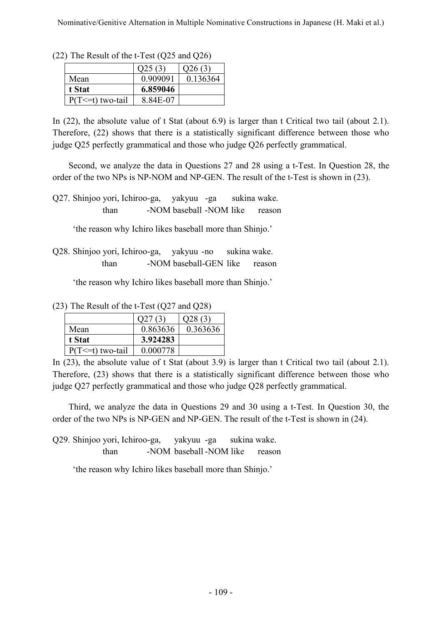|                       | Q25(3)   | Q26(3)   |
|-----------------------|----------|----------|
| Mean                  | 0.909091 | 0.136364 |
| t Stat                | 6.859046 |          |
| $P(T \le t)$ two-tail | 8 84E-07 |          |

(22) The Result of the t-Test (Q25 and Q26)

In (22), the absolute value of t Stat (about 6.9) is larger than t Critical two tail (about 2.1). Therefore, (22) shows that there is a statistically significant difference between those who judge Q25 perfectly grammatical and those who judge Q26 perfectly grammatical.

Second, we analyze the data in Questions 27 and 28 using a t-Test. In Question 28, the order of the two NPs is NP-NOM and NP-GEN. The result of the t-Test is shown in (23).

Q27. Shinjoo yori, Ichiroo-ga, yakyuu -ga sukina wake. than -NOM baseball -NOM like reason

'the reason why Ichiro likes baseball more than Shinjo.'

Q28. Shinjoo yori, Ichiroo-ga, yakyuu -no sukina wake. than -NOM baseball-GEN like reason

'the reason why Ichiro likes baseball more than Shinjo.'

(23) The Result of the t-Test (Q27 and Q28)

|                       |          | O28(3)   |
|-----------------------|----------|----------|
| Mean                  | 0.863636 | 0.363636 |
| t Stat                | 3.924283 |          |
| $P(T \le t)$ two-tail | 0.000778 |          |

In (23), the absolute value of t Stat (about 3.9) is larger than t Critical two tail (about 2.1). Therefore, (23) shows that there is a statistically significant difference between those who judge Q27 perfectly grammatical and those who judge Q28 perfectly grammatical.

Third, we analyze the data in Questions 29 and 30 using a t-Test. In Question 30, the order of the two NPs is NP-GEN and NP-GEN. The result of the t-Test is shown in (24).

Q29. Shinjoo yori, Ichiroo-ga, yakyuu -ga sukina wake. than -NOM baseball -NOM like reason

'the reason why Ichiro likes baseball more than Shinjo.'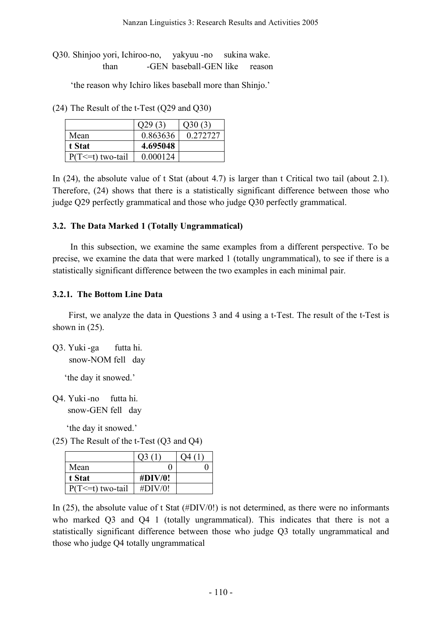Q30. Shinjoo yori, Ichiroo-no, yakyuu -no sukina wake. than -GEN baseball -GEN like reason

'the reason why Ichiro likes baseball more than Shinjo.'

(24) The Result of the t-Test (Q29 and Q30)

|                       | O <sub>29</sub> (3) | Q30(3)   |
|-----------------------|---------------------|----------|
| Mean                  | 0.863636            | 0.272727 |
| t Stat                | 4.695048            |          |
| $P(T \le t)$ two-tail | 0.000124            |          |

In (24), the absolute value of t Stat (about 4.7) is larger than t Critical two tail (about 2.1). Therefore, (24) shows that there is a statistically significant difference between those who judge Q29 perfectly grammatical and those who judge Q30 perfectly grammatical.

### **3.2. The Data Marked 1 (Totally Ungrammatical)**

In this subsection, we examine the same examples from a different perspective. To be precise, we examine the data that were marked 1 (totally ungrammatical), to see if there is a statistically significant difference between the two examples in each minimal pair.

### **3.2.1. The Bottom Line Data**

First, we analyze the data in Questions 3 and 4 using a t-Test. The result of the t-Test is shown in  $(25)$ .

Q3. Yuki -ga futta hi. snow-NOM fell day

'the day it snowed.'

Q4. Yuki-no futta hi. snow-GEN fell day

'the day it snowed.'

(25) The Result of the t-Test (Q3 and Q4)

| Mean                  |         |  |
|-----------------------|---------|--|
| t Stat                | #DIV/0! |  |
| $P(T \le t)$ two-tail | #DIV/0! |  |

In (25), the absolute value of t Stat (#DIV/0!) is not determined, as there were no informants who marked Q3 and Q4 1 (totally ungrammatical). This indicates that there is not a statistically significant difference between those who judge Q3 totally ungrammatical and those who judge Q4 totally ungrammatical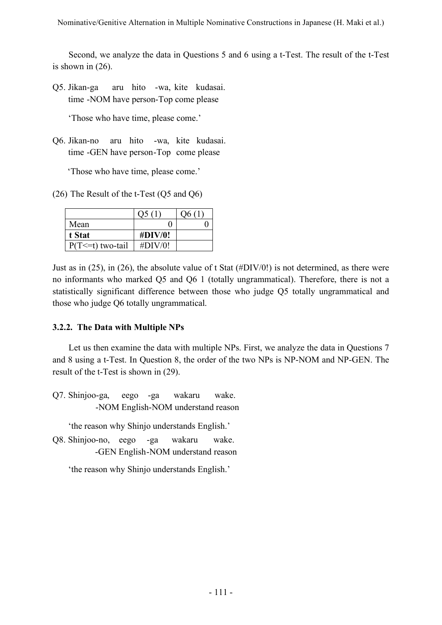Second, we analyze the data in Questions 5 and 6 using a t-Test. The result of the t-Test is shown in (26).

Q5. Jikan-ga aru hito -wa, kite kudasai. time -NOM have person-Top come please

'Those who have time, please come.'

Q6. Jikan-no aru hito -wa, kite kudasai. time -GEN have person-Top come please

'Those who have time, please come.'

(26) The Result of the t-Test (Q5 and Q6)

|                       |             | Ο6 |
|-----------------------|-------------|----|
| Mean                  |             |    |
| t Stat                | $\#$ DIV/0! |    |
| $P(T \le t)$ two-tail | #DIV/0!     |    |

Just as in (25), in (26), the absolute value of t Stat (#DIV/0!) is not determined, as there were no informants who marked Q5 and Q6 1 (totally ungrammatical). Therefore, there is not a statistically significant difference between those who judge Q5 totally ungrammatical and those who judge Q6 totally ungrammatical.

# **3.2.2. The Data with Multiple NPs**

Let us then examine the data with multiple NPs. First, we analyze the data in Questions 7 and 8 using a t-Test. In Question 8, the order of the two NPs is NP-NOM and NP-GEN. The result of the t-Test is shown in (29).

Q7. Shinjoo-ga, eego -ga wakaru wake. -NOM English-NOM understand reason

'the reason why Shinjo understands English.'

Q8. Shinjoo-no, eego -ga wakaru wake. -GEN English -NOM understand reason

'the reason why Shinjo understands English.'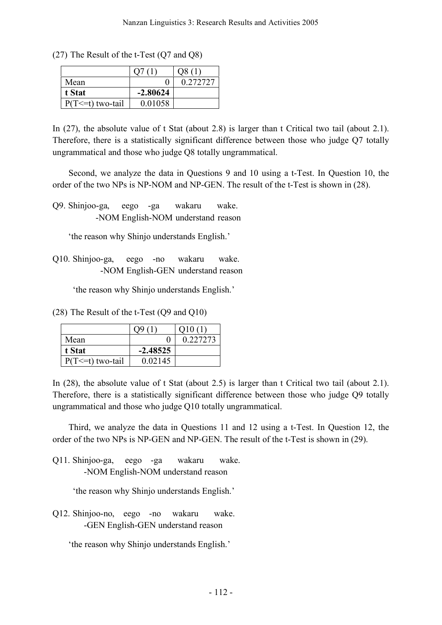(27) The Result of the t-Test (Q7 and Q8)

| Mean                  |            | 0.272.72.7 |
|-----------------------|------------|------------|
| t Stat                | $-2.80624$ |            |
| $P(T \le t)$ two-tail | 0.01058    |            |

In (27), the absolute value of t Stat (about 2.8) is larger than t Critical two tail (about 2.1). Therefore, there is a statistically significant difference between those who judge Q7 totally ungrammatical and those who judge Q8 totally ungrammatical.

Second, we analyze the data in Questions 9 and 10 using a t-Test. In Question 10, the order of the two NPs is NP-NOM and NP-GEN. The result of the t-Test is shown in (28).

Q9. Shinjoo-ga, eego -ga wakaru wake. -NOM English-NOM understand reason

'the reason why Shinjo understands English.'

Q10. Shinjoo-ga, eego -no wakaru wake. -NOM English-GEN understand reason

'the reason why Shinjo understands English.'

(28) The Result of the t-Test (Q9 and Q10)

| Mean                  |            | 0.2272.73 |
|-----------------------|------------|-----------|
| t Stat                | $-2.48525$ |           |
| $P(T \le t)$ two-tail | 0.02145    |           |

In (28), the absolute value of t Stat (about 2.5) is larger than t Critical two tail (about 2.1). Therefore, there is a statistically significant difference between those who judge Q9 totally ungrammatical and those who judge Q10 totally ungrammatical.

Third, we analyze the data in Questions 11 and 12 using a t-Test. In Question 12, the order of the two NPs is NP-GEN and NP-GEN. The result of the t-Test is shown in (29).

Q11. Shinjoo-ga, eego -ga wakaru wake. -NOM English-NOM understand reason

'the reason why Shinjo understands English.'

Q12. Shinjoo-no, eego -no wakaru wake. -GEN English-GEN understand reason

'the reason why Shinjo understands English.'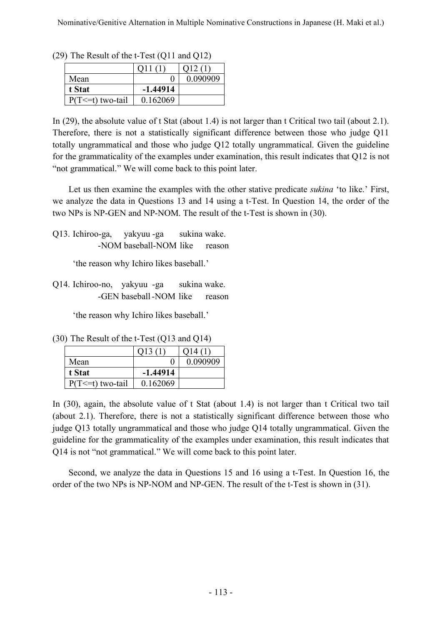|                       |            | (12(1)   |
|-----------------------|------------|----------|
| Mean                  |            | 0.090909 |
| t Stat                | $-1.44914$ |          |
| $P(T \le t)$ two-tail | 0.162069   |          |

(29) The Result of the t-Test (Q11 and Q12)

In (29), the absolute value of t Stat (about 1.4) is not larger than t Critical two tail (about 2.1). Therefore, there is not a statistically significant difference between those who judge Q11 totally ungrammatical and those who judge Q12 totally ungrammatical. Given the guideline for the grammaticality of the examples under examination, this result indicates that Q12 is not "not grammatical." We will come back to this point later.

Let us then examine the examples with the other stative predicate *sukina* 'to like.' First, we analyze the data in Questions 13 and 14 using a t-Test. In Question 14, the order of the two NPs is NP-GEN and NP-NOM. The result of the t-Test is shown in (30).

Q13. Ichiroo-ga, yakyuu -ga sukina wake. -NOM baseball-NOM like reason

'the reason why Ichiro likes baseball.'

Q14. Ichiroo-no, yakyuu -ga sukina wake. -GEN baseball -NOM like reason

'the reason why Ichiro likes baseball.'

(30) The Result of the t-Test (Q13 and Q14)

| Mean                  |            | 0.090909 |
|-----------------------|------------|----------|
| t Stat                | $-1.44914$ |          |
| $P(T \le t)$ two-tail | 0 162069   |          |

In (30), again, the absolute value of t Stat (about 1.4) is not larger than t Critical two tail (about 2.1). Therefore, there is not a statistically significant difference between those who judge Q13 totally ungrammatical and those who judge Q14 totally ungrammatical. Given the guideline for the grammaticality of the examples under examination, this result indicates that Q14 is not "not grammatical." We will come back to this point later.

Second, we analyze the data in Questions 15 and 16 using a t-Test. In Question 16, the order of the two NPs is NP-NOM and NP-GEN. The result of the t-Test is shown in (31).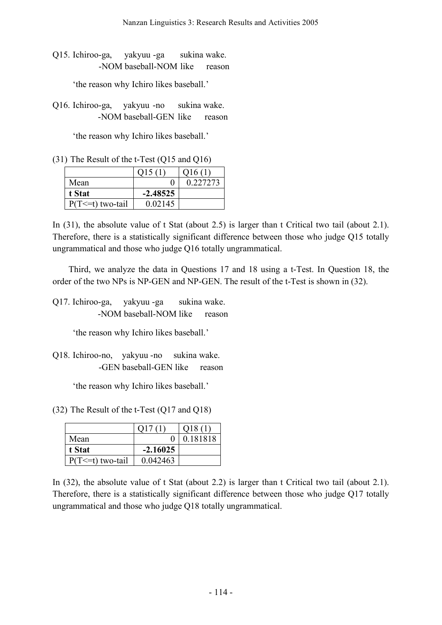Q15. Ichiroo-ga, yakyuu -ga sukina wake. -NOM baseball-NOM like reason

'the reason why Ichiro likes baseball.'

Q16. Ichiroo-ga, yakyuu -no sukina wake. -NOM baseball-GEN like reason

'the reason why Ichiro likes baseball.'

(31) The Result of the t-Test (Q15 and Q16)

|                       | 015(1)      | O16(1)   |
|-----------------------|-------------|----------|
| Mean                  |             | 0.227273 |
| t Stat                | $-2.48525$  |          |
| $P(T \le t)$ two-tail | 0 0 2 1 4 5 |          |

In (31), the absolute value of t Stat (about 2.5) is larger than t Critical two tail (about 2.1). Therefore, there is a statistically significant difference between those who judge Q15 totally ungrammatical and those who judge Q16 totally ungrammatical.

Third, we analyze the data in Questions 17 and 18 using a t-Test. In Question 18, the order of the two NPs is NP-GEN and NP-GEN. The result of the t-Test is shown in (32).

Q17. Ichiroo-ga, yakyuu -ga sukina wake. -NOM baseball-NOM like reason

'the reason why Ichiro likes baseball.'

Q18. Ichiroo-no, yakyuu -no sukina wake. -GEN baseball-GEN like reason

'the reason why Ichiro likes baseball.'

(32) The Result of the t-Test (Q17 and Q18)

| Mean                  |            | 0.181818 |
|-----------------------|------------|----------|
| t Stat                | $-2.16025$ |          |
| $P(T \le t)$ two-tail | 0.042463   |          |

In (32), the absolute value of t Stat (about 2.2) is larger than t Critical two tail (about 2.1). Therefore, there is a statistically significant difference between those who judge Q17 totally ungrammatical and those who judge Q18 totally ungrammatical.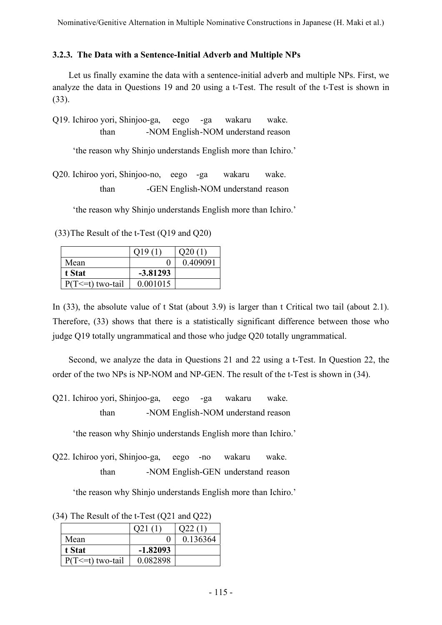## **3.2.3. The Data with a Sentence-Initial Adverb and Multiple NPs**

Let us finally examine the data with a sentence-initial adverb and multiple NPs. First, we analyze the data in Questions 19 and 20 using a t-Test. The result of the t-Test is shown in (33).

Q19. Ichiroo yori, Shinjoo-ga, eego -ga wakaru wake. than -NOM English -NOM understand reason

'the reason why Shinjo understands English more than Ichiro.'

Q20. Ichiroo yori, Shinjoo-no, eego -ga wakaru wake. than -GEN English-NOM understand reason

'the reason why Shinjo understands English more than Ichiro.'

(33)The Result of the t-Test (Q19 and Q20)

|                       | O <sub>19</sub> | Q20(1)   |
|-----------------------|-----------------|----------|
| Mean                  | $\mathcal{O}$   | 0.409091 |
| t Stat                | $-3.81293$      |          |
| $P(T \le t)$ two-tail | 0.001015        |          |

In (33), the absolute value of t Stat (about 3.9) is larger than t Critical two tail (about 2.1). Therefore, (33) shows that there is a statistically significant difference between those who judge Q19 totally ungrammatical and those who judge Q20 totally ungrammatical.

Second, we analyze the data in Questions 21 and 22 using a t-Test. In Question 22, the order of the two NPs is NP-NOM and NP-GEN. The result of the t-Test is shown in (34).

Q21. Ichiroo yori, Shinjoo-ga, eego -ga wakaru wake. than -NOM English -NOM understand reason

'the reason why Shinjo understands English more than Ichiro.'

Q22. Ichiroo yori, Shinjoo-ga, eego -no wakaru wake. than -NOM English-GEN understand reason

'the reason why Shinjo understands English more than Ichiro.'

(34) The Result of the t-Test (Q21 and Q22)

| Mean                  | 0        | 0.136364 |
|-----------------------|----------|----------|
| t Stat                | -1.82093 |          |
| $P(T \le t)$ two-tail | 0.082898 |          |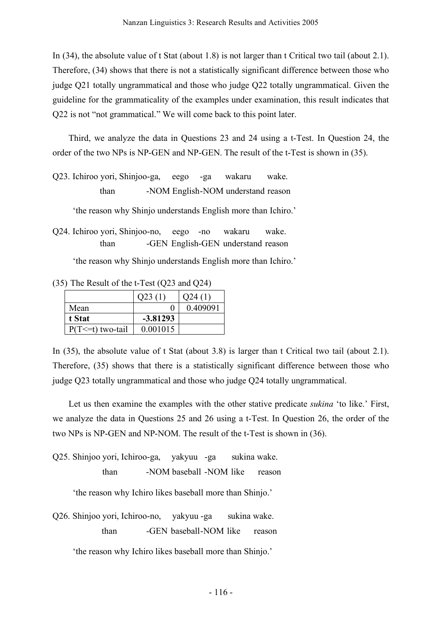In (34), the absolute value of t Stat (about 1.8) is not larger than t Critical two tail (about 2.1). Therefore, (34) shows that there is not a statistically significant difference between those who judge Q21 totally ungrammatical and those who judge Q22 totally ungrammatical. Given the guideline for the grammaticality of the examples under examination, this result indicates that Q22 is not "not grammatical." We will come back to this point later.

Third, we analyze the data in Questions 23 and 24 using a t-Test. In Question 24, the order of the two NPs is NP-GEN and NP-GEN. The result of the t-Test is shown in (35).

Q23. Ichiroo yori, Shinjoo-ga, eego -ga wakaru wake. than -NOM English -NOM understand reason

'the reason why Shinjo understands English more than Ichiro.'

Q24. Ichiroo yori, Shinjoo-no, eego -no wakaru wake. than -GEN English-GEN understand reason

'the reason why Shinjo understands English more than Ichiro.'

(35) The Result of the t-Test (Q23 and Q24)

|                       | Q23(1)     | O24(1)   |
|-----------------------|------------|----------|
| Mean                  | 0          | 0.409091 |
| t Stat                | $-3.81293$ |          |
| $P(T \le t)$ two-tail | 0.001015   |          |

In (35), the absolute value of t Stat (about 3.8) is larger than t Critical two tail (about 2.1). Therefore, (35) shows that there is a statistically significant difference between those who judge Q23 totally ungrammatical and those who judge Q24 totally ungrammatical.

Let us then examine the examples with the other stative predicate *sukina* 'to like.' First, we analyze the data in Questions 25 and 26 using a t-Test. In Question 26, the order of the two NPs is NP-GEN and NP-NOM. The result of the t-Test is shown in (36).

Q25. Shinjoo yori, Ichiroo-ga, yakyuu -ga sukina wake. than -NOM baseball -NOM like reason

'the reason why Ichiro likes baseball more than Shinjo.'

Q26. Shinjoo yori, Ichiroo-no, yakyuu -ga sukina wake. than -GEN baseball -NOM like reason

'the reason why Ichiro likes baseball more than Shinjo.'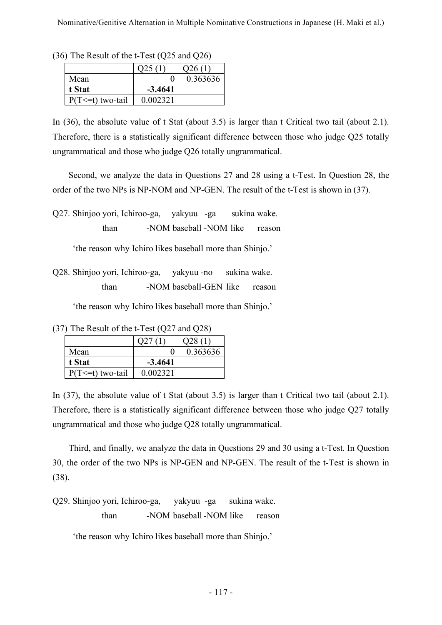|                       | O <sub>25</sub> (1 | 026 (1)  |
|-----------------------|--------------------|----------|
| Mean                  |                    | 0.363636 |
| t Stat                | $-3.4641$          |          |
| $P(T \le t)$ two-tail | 0.002321           |          |

(36) The Result of the t-Test (Q25 and Q26)

In (36), the absolute value of t Stat (about 3.5) is larger than t Critical two tail (about 2.1). Therefore, there is a statistically significant difference between those who judge Q25 totally ungrammatical and those who judge Q26 totally ungrammatical.

Second, we analyze the data in Questions 27 and 28 using a t-Test. In Question 28, the order of the two NPs is NP-NOM and NP-GEN. The result of the t-Test is shown in (37).

Q27. Shinjoo yori, Ichiroo-ga, yakyuu -ga sukina wake. than -NOM baseball -NOM like reason

'the reason why Ichiro likes baseball more than Shinjo.'

Q28. Shinjoo yori, Ichiroo-ga, yakyuu -no sukina wake. than -NOM baseball-GEN like reason

'the reason why Ichiro likes baseball more than Shinjo.'

(37) The Result of the t-Test (Q27 and Q28)

| Mean                  |           | 0.363636 |
|-----------------------|-----------|----------|
| t Stat                | $-3.4641$ |          |
| $P(T \le t)$ two-tail | 0.002321  |          |

In (37), the absolute value of t Stat (about 3.5) is larger than t Critical two tail (about 2.1). Therefore, there is a statistically significant difference between those who judge Q27 totally ungrammatical and those who judge Q28 totally ungrammatical.

Third, and finally, we analyze the data in Questions 29 and 30 using a t-Test. In Question 30, the order of the two NPs is NP-GEN and NP-GEN. The result of the t-Test is shown in (38).

Q29. Shinjoo yori, Ichiroo-ga, yakyuu -ga sukina wake. than -NOM baseball -NOM like reason

'the reason why Ichiro likes baseball more than Shinjo.'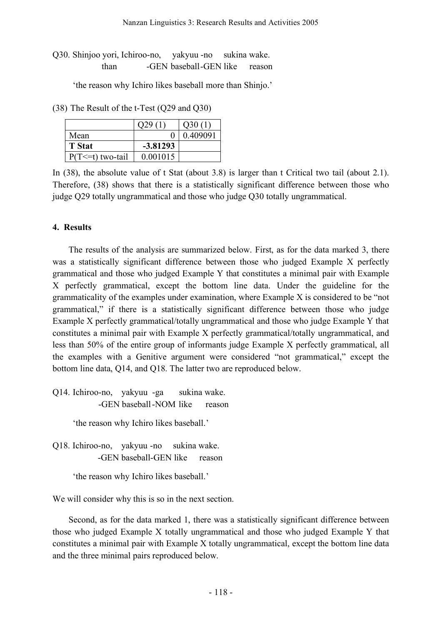Q30. Shinjoo yori, Ichiroo-no, yakyuu -no sukina wake. than -GEN baseball-GEN like reason

'the reason why Ichiro likes baseball more than Shinjo.'

(38) The Result of the t-Test (Q29 and Q30)

|                       |            | 030(1)   |
|-----------------------|------------|----------|
| Mean                  |            | 0.409091 |
| <b>T</b> Stat         | $-3.81293$ |          |
| $P(T \le t)$ two-tail | 0.001015   |          |

In (38), the absolute value of t Stat (about 3.8) is larger than t Critical two tail (about 2.1). Therefore, (38) shows that there is a statistically significant difference between those who judge Q29 totally ungrammatical and those who judge Q30 totally ungrammatical.

### **4. Results**

The results of the analysis are summarized below. First, as for the data marked 3, there was a statistically significant difference between those who judged Example X perfectly grammatical and those who judged Example Y that constitutes a minimal pair with Example X perfectly grammatical, except the bottom line data. Under the guideline for the grammaticality of the examples under examination, where Example X is considered to be "not grammatical," if there is a statistically significant difference between those who judge Example X perfectly grammatical/totally ungrammatical and those who judge Example Y that constitutes a minimal pair with Example X perfectly grammatical/totally ungrammatical, and less than 50% of the entire group of informants judge Example X perfectly grammatical, all the examples with a Genitive argument were considered "not grammatical," except the bottom line data, Q14, and Q18. The latter two are reproduced below.

Q14. Ichiroo-no, yakyuu -ga sukina wake. -GEN baseball -NOM like reason

'the reason why Ichiro likes baseball.'

Q18. Ichiroo-no, yakyuu -no sukina wake. -GEN baseball-GEN like reason

'the reason why Ichiro likes baseball.'

We will consider why this is so in the next section.

Second, as for the data marked 1, there was a statistically significant difference between those who judged Example X totally ungrammatical and those who judged Example Y that constitutes a minimal pair with Example X totally ungrammatical, except the bottom line data and the three minimal pairs reproduced below.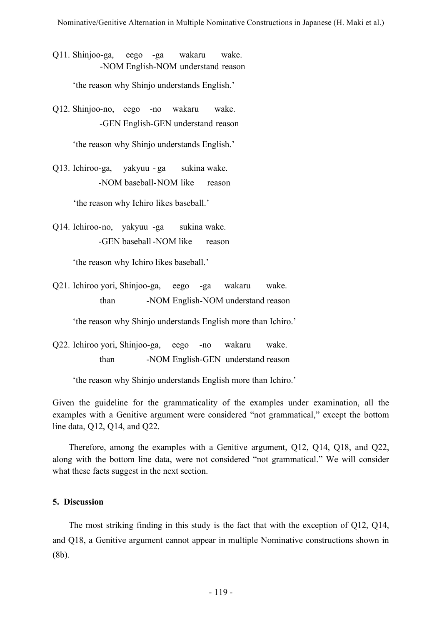Q11. Shinjoo-ga, eego -ga wakaru wake. -NOM English-NOM understand reason

'the reason why Shinjo understands English.'

Q12. Shinjoo-no, eego -no wakaru wake. -GEN English-GEN understand reason

'the reason why Shinjo understands English.'

Q13. Ichiroo-ga, yakyuu - ga sukina wake. -NOM baseball-NOM like reason

'the reason why Ichiro likes baseball.'

Q14. Ichiroo-no, yakyuu -ga sukina wake. -GEN baseball-NOM like reason

'the reason why Ichiro likes baseball.'

Q21. Ichiroo yori, Shinjoo-ga, eego -ga wakaru wake. than -NOM English-NOM understand reason

'the reason why Shinjo understands English more than Ichiro.'

Q22. Ichiroo yori, Shinjoo-ga, eego -no wakaru wake. than -NOM English-GEN understand reason

'the reason why Shinjo understands English more than Ichiro.'

Given the guideline for the grammaticality of the examples under examination, all the examples with a Genitive argument were considered "not grammatical," except the bottom line data, Q12, Q14, and Q22.

Therefore, among the examples with a Genitive argument, Q12, Q14, Q18, and Q22, along with the bottom line data, were not considered "not grammatical." We will consider what these facts suggest in the next section.

### **5. Discussion**

The most striking finding in this study is the fact that with the exception of Q12, Q14, and Q18, a Genitive argument cannot appear in multiple Nominative constructions shown in (8b).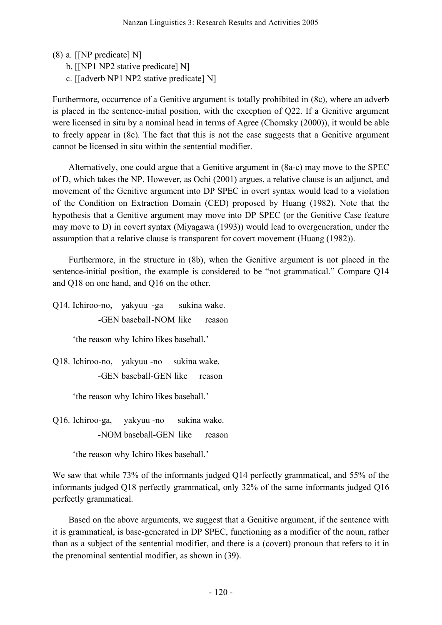- (8) a. [[NP predicate] N]
	- b. [[NP1 NP2 stative predicate] N]
	- c. [[adverb NP1 NP2 stative predicate] N]

Furthermore, occurrence of a Genitive argument is totally prohibited in (8c), where an adverb is placed in the sentence-initial position, with the exception of Q22. If a Genitive argument were licensed in situ by a nominal head in terms of Agree (Chomsky (2000)), it would be able to freely appear in (8c). The fact that this is not the case suggests that a Genitive argument cannot be licensed in situ within the sentential modifier.

Alternatively, one could argue that a Genitive argument in (8a-c) may move to the SPEC of D, which takes the NP. However, as Ochi (2001) argues, a relative clause is an adjunct, and movement of the Genitive argument into DP SPEC in overt syntax would lead to a violation of the Condition on Extraction Domain (CED) proposed by Huang (1982). Note that the hypothesis that a Genitive argument may move into DP SPEC (or the Genitive Case feature may move to D) in covert syntax (Miyagawa (1993)) would lead to overgeneration, under the assumption that a relative clause is transparent for covert movement (Huang (1982)).

Furthermore, in the structure in (8b), when the Genitive argument is not placed in the sentence-initial position, the example is considered to be "not grammatical." Compare Q14 and Q18 on one hand, and Q16 on the other.

Q14. Ichiroo-no, yakyuu -ga sukina wake. -GEN baseball-NOM like reason

'the reason why Ichiro likes baseball.'

Q18. Ichiroo-no, yakyuu -no sukina wake. -GEN baseball-GEN like reason

'the reason why Ichiro likes baseball.'

Q16. Ichiroo-ga, yakyuu -no sukina wake. -NOM baseball-GEN like reason

'the reason why Ichiro likes baseball.'

We saw that while 73% of the informants judged Q14 perfectly grammatical, and 55% of the informants judged Q18 perfectly grammatical, only 32% of the same informants judged Q16 perfectly grammatical.

Based on the above arguments, we suggest that a Genitive argument, if the sentence with it is grammatical, is base-generated in DP SPEC, functioning as a modifier of the noun, rather than as a subject of the sentential modifier, and there is a (covert) pronoun that refers to it in the prenominal sentential modifier, as shown in (39).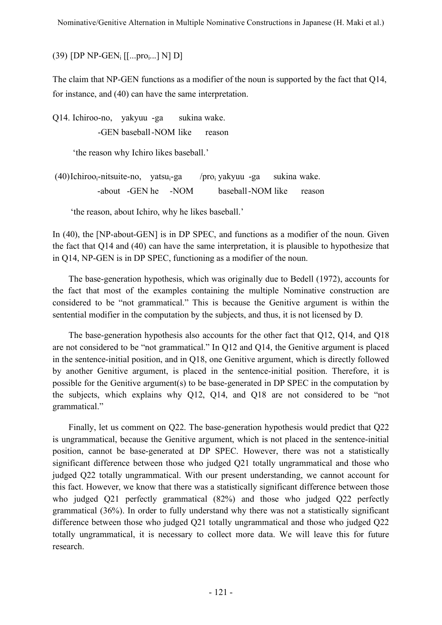(39) [DP NP-GEN<sub>i</sub>  $[[...pro,...]$  N] D]

The claim that NP-GEN functions as a modifier of the noun is supported by the fact that Q14, for instance, and (40) can have the same interpretation.

Q14. Ichiroo-no, yakyuu -ga sukina wake. -GEN baseball -NOM like reason

'the reason why Ichiro likes baseball.'

 $(40)$ Ichiroo<sub>i</sub>-nitsuite-no, yatsu<sub>i</sub>-ga /pro<sub>i</sub> yakyuu -ga sukina wake. -about -GEN he -NOM baseball -NOM like reason

'the reason, about Ichiro, why he likes baseball.'

In (40), the [NP-about-GEN] is in DP SPEC, and functions as a modifier of the noun. Given the fact that Q14 and (40) can have the same interpretation, it is plausible to hypothesize that in Q14, NP-GEN is in DP SPEC, functioning as a modifier of the noun.

The base-generation hypothesis, which was originally due to Bedell (1972), accounts for the fact that most of the examples containing the multiple Nominative construction are considered to be "not grammatical." This is because the Genitive argument is within the sentential modifier in the computation by the subjects, and thus, it is not licensed by D.

The base-generation hypothesis also accounts for the other fact that Q12, Q14, and Q18 are not considered to be "not grammatical." In Q12 and Q14, the Genitive argument is placed in the sentence-initial position, and in Q18, one Genitive argument, which is directly followed by another Genitive argument, is placed in the sentence-initial position. Therefore, it is possible for the Genitive argument(s) to be base-generated in DP SPEC in the computation by the subjects, which explains why Q12, Q14, and Q18 are not considered to be "not grammatical."

Finally, let us comment on Q22. The base-generation hypothesis would predict that Q22 is ungrammatical, because the Genitive argument, which is not placed in the sentence-initial position, cannot be base-generated at DP SPEC. However, there was not a statistically significant difference between those who judged Q21 totally ungrammatical and those who judged Q22 totally ungrammatical. With our present understanding, we cannot account for this fact. However, we know that there was a statistically significant difference between those who judged Q21 perfectly grammatical (82%) and those who judged Q22 perfectly grammatical (36%). In order to fully understand why there was not a statistically significant difference between those who judged Q21 totally ungrammatical and those who judged Q22 totally ungrammatical, it is necessary to collect more data. We will leave this for future research.